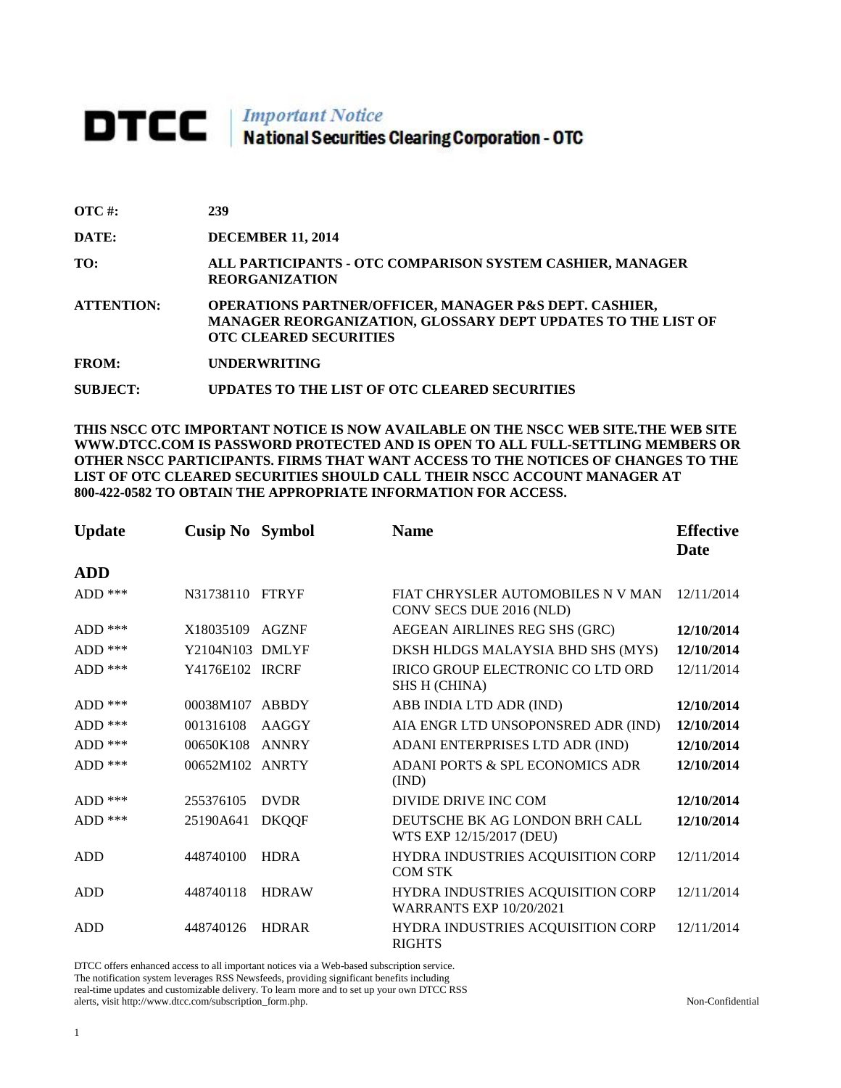# **DTCC** National Securities Clearing Corporation - OTC

| $\overline{OTC}$ #: | 239                                                                                                                                                                |
|---------------------|--------------------------------------------------------------------------------------------------------------------------------------------------------------------|
| DATE:               | <b>DECEMBER 11, 2014</b>                                                                                                                                           |
| TO:                 | ALL PARTICIPANTS - OTC COMPARISON SYSTEM CASHIER, MANAGER<br><b>REORGANIZATION</b>                                                                                 |
| <b>ATTENTION:</b>   | <b>OPERATIONS PARTNER/OFFICER, MANAGER P&amp;S DEPT. CASHIER,</b><br>MANAGER REORGANIZATION, GLOSSARY DEPT UPDATES TO THE LIST OF<br><b>OTC CLEARED SECURITIES</b> |
| <b>FROM:</b>        | <b>UNDERWRITING</b>                                                                                                                                                |
| <b>SUBJECT:</b>     | UPDATES TO THE LIST OF OTC CLEARED SECURITIES                                                                                                                      |

**THIS NSCC OTC IMPORTANT NOTICE IS NOW AVAILABLE ON THE NSCC WEB SITE.THE WEB SITE WWW.DTCC.COM IS PASSWORD PROTECTED AND IS OPEN TO ALL FULL-SETTLING MEMBERS OR OTHER NSCC PARTICIPANTS. FIRMS THAT WANT ACCESS TO THE NOTICES OF CHANGES TO THE LIST OF OTC CLEARED SECURITIES SHOULD CALL THEIR NSCC ACCOUNT MANAGER AT 800-422-0582 TO OBTAIN THE APPROPRIATE INFORMATION FOR ACCESS.** 

| <b>Update</b> | <b>Cusip No Symbol</b> |              | <b>Name</b>                                                         | <b>Effective</b><br>Date |
|---------------|------------------------|--------------|---------------------------------------------------------------------|--------------------------|
| <b>ADD</b>    |                        |              |                                                                     |                          |
| $ADD$ ***     | N31738110 FTRYF        |              | FIAT CHRYSLER AUTOMOBILES N V MAN<br>CONV SECS DUE 2016 (NLD)       | 12/11/2014               |
| $ADD$ ***     | X18035109              | <b>AGZNF</b> | AEGEAN AIRLINES REG SHS (GRC)                                       | 12/10/2014               |
| $ADD$ ***     | Y2104N103 DMLYF        |              | DKSH HLDGS MALAYSIA BHD SHS (MYS)                                   | 12/10/2014               |
| $ADD$ ***     | Y4176E102 IRCRF        |              | IRICO GROUP ELECTRONIC CO LTD ORD<br><b>SHS H (CHINA)</b>           | 12/11/2014               |
| $ADD$ ***     | 00038M107              | ABBDY        | ABB INDIA LTD ADR (IND)                                             | 12/10/2014               |
| $ADD$ ***     | 001316108              | AAGGY        | AIA ENGR LTD UNSOPONSRED ADR (IND)                                  | 12/10/2014               |
| $ADD$ ***     | 00650K108              | ANNRY        | ADANI ENTERPRISES LTD ADR (IND)                                     | 12/10/2014               |
| ADD $***$     | 00652M102 ANRTY        |              | ADANI PORTS & SPL ECONOMICS ADR<br>(IND)                            | 12/10/2014               |
| $ADD$ ***     | 255376105              | <b>DVDR</b>  | DIVIDE DRIVE INC COM                                                | 12/10/2014               |
| $ADD$ ***     | 25190A641              | <b>DKQQF</b> | DEUTSCHE BK AG LONDON BRH CALL<br>WTS EXP 12/15/2017 (DEU)          | 12/10/2014               |
| <b>ADD</b>    | 448740100              | <b>HDRA</b>  | HYDRA INDUSTRIES ACQUISITION CORP<br><b>COM STK</b>                 | 12/11/2014               |
| <b>ADD</b>    | 448740118              | <b>HDRAW</b> | HYDRA INDUSTRIES ACQUISITION CORP<br><b>WARRANTS EXP 10/20/2021</b> | 12/11/2014               |
| <b>ADD</b>    | 448740126              | <b>HDRAR</b> | HYDRA INDUSTRIES ACQUISITION CORP<br><b>RIGHTS</b>                  | 12/11/2014               |

DTCC offers enhanced access to all important notices via a Web-based subscription service.

The notification system leverages RSS Newsfeeds, providing significant benefits including real-time updates and customizable delivery. To learn more and to set up your own DTCC RSS

alerts, visit http://www.dtcc.com/subscription\_form.php. Non-Confidential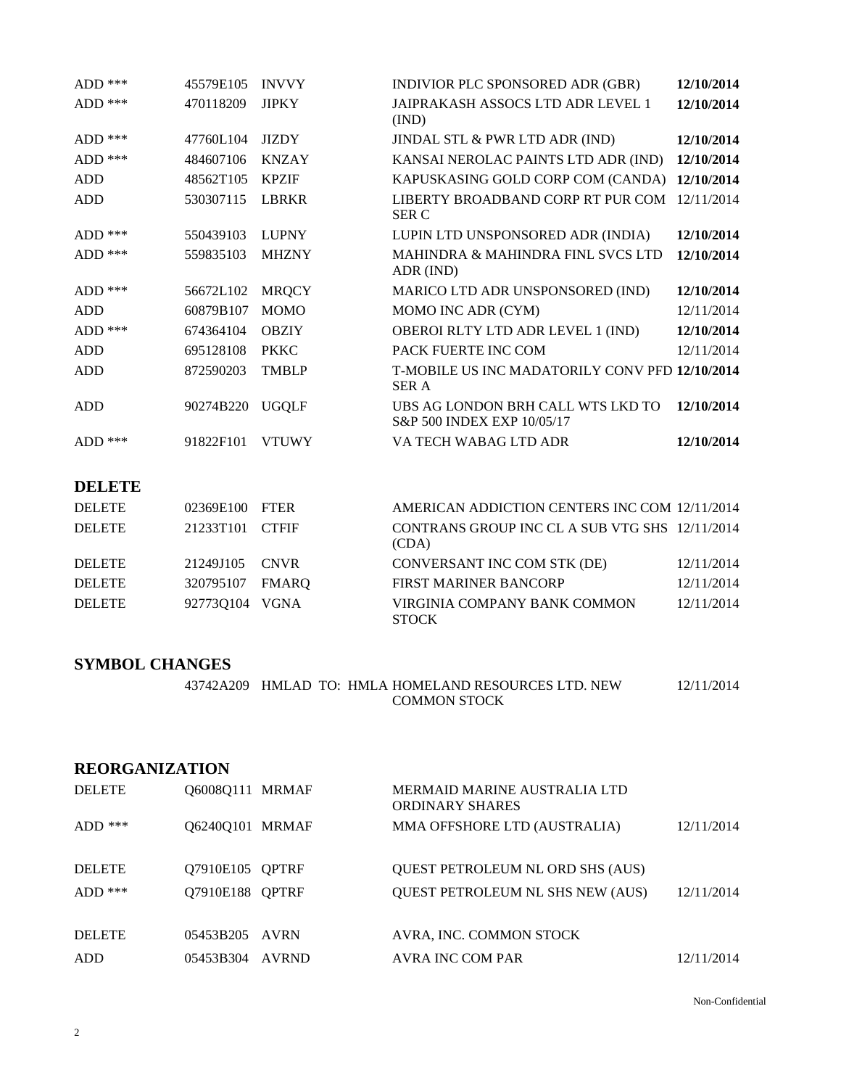| $ADD$ ***  | 45579E105 | <b>INVVY</b> | INDIVIOR PLC SPONSORED ADR (GBR)                                | 12/10/2014 |
|------------|-----------|--------------|-----------------------------------------------------------------|------------|
| $ADD$ ***  | 470118209 | <b>JIPKY</b> | JAIPRAKASH ASSOCS LTD ADR LEVEL 1<br>(IND)                      | 12/10/2014 |
| $ADD$ ***  | 47760L104 | <b>JIZDY</b> | JINDAL STL & PWR LTD ADR (IND)                                  | 12/10/2014 |
| $ADD$ ***  | 484607106 | <b>KNZAY</b> | KANSAI NEROLAC PAINTS LTD ADR (IND)                             | 12/10/2014 |
| <b>ADD</b> | 48562T105 | <b>KPZIF</b> | KAPUSKASING GOLD CORP COM (CANDA)                               | 12/10/2014 |
| <b>ADD</b> | 530307115 | <b>LBRKR</b> | LIBERTY BROADBAND CORP RT PUR COM<br><b>SER C</b>               | 12/11/2014 |
| $ADD$ ***  | 550439103 | <b>LUPNY</b> | LUPIN LTD UNSPONSORED ADR (INDIA)                               | 12/10/2014 |
| $ADD$ ***  | 559835103 | <b>MHZNY</b> | MAHINDRA & MAHINDRA FINL SVCS LTD<br>ADR (IND)                  | 12/10/2014 |
| $ADD$ ***  | 56672L102 | <b>MRQCY</b> | MARICO LTD ADR UNSPONSORED (IND)                                | 12/10/2014 |
| <b>ADD</b> | 60879B107 | <b>MOMO</b>  | MOMO INC ADR (CYM)                                              | 12/11/2014 |
| $ADD$ ***  | 674364104 | <b>OBZIY</b> | OBEROI RLTY LTD ADR LEVEL 1 (IND)                               | 12/10/2014 |
| <b>ADD</b> | 695128108 | <b>PKKC</b>  | PACK FUERTE INC COM                                             | 12/11/2014 |
| ADD        | 872590203 | <b>TMBLP</b> | T-MOBILE US INC MADATORILY CONV PFD 12/10/2014<br><b>SER A</b>  |            |
| ADD        | 90274B220 | <b>UGQLF</b> | UBS AG LONDON BRH CALL WTS LKD TO<br>S&P 500 INDEX EXP 10/05/17 | 12/10/2014 |
| $ADD$ ***  | 91822F101 | <b>VTUWY</b> | VA TECH WABAG LTD ADR                                           | 12/10/2014 |

## **DELETE**

| <b>DELETE</b> | 02369E100 FTER  |       | AMERICAN ADDICTION CENTERS INC COM 12/11/2014           |            |
|---------------|-----------------|-------|---------------------------------------------------------|------------|
| <b>DELETE</b> | 21233T101 CTFIF |       | CONTRANS GROUP INC CL A SUB VTG SHS 12/11/2014<br>(CDA) |            |
| <b>DELETE</b> | 21249J105 CNVR  |       | CONVERSANT INC COM STK (DE)                             | 12/11/2014 |
| <b>DELETE</b> | 320795107       | FMARO | <b>FIRST MARINER BANCORP</b>                            | 12/11/2014 |
| <b>DELETE</b> | 927730104 VGNA  |       | VIRGINIA COMPANY BANK COMMON<br><b>STOCK</b>            | 12/11/2014 |

### **SYMBOL CHANGES**

| 43742A209 HMLAD TO: HMLA HOMELAND RESOURCES LTD. NEW | 12/11/2014 |
|------------------------------------------------------|------------|
| <b>COMMON STOCK</b>                                  |            |

### **REORGANIZATION**

| <b>DELETE</b> | 060080111 MRMAF |       | MERMAID MARINE AUSTRALIA LTD<br><b>ORDINARY SHARES</b> |            |
|---------------|-----------------|-------|--------------------------------------------------------|------------|
| $ADD$ ***     | 062400101 MRMAF |       | MMA OFFSHORE LTD (AUSTRALIA)                           | 12/11/2014 |
| <b>DELETE</b> | 07910E105 OPTRF |       | <b>OUEST PETROLEUM NL ORD SHS (AUS)</b>                |            |
| $ADD$ ***     | 07910E188 OPTRF |       | <b>OUEST PETROLEUM NL SHS NEW (AUS)</b>                | 12/11/2014 |
|               |                 |       |                                                        |            |
| <b>DELETE</b> | 05453B205 AVRN  |       | AVRA, INC. COMMON STOCK                                |            |
| <b>ADD</b>    | 05453B304       | AVRND | AVRA INC COM PAR                                       | 12/11/2014 |

Non-Confidential